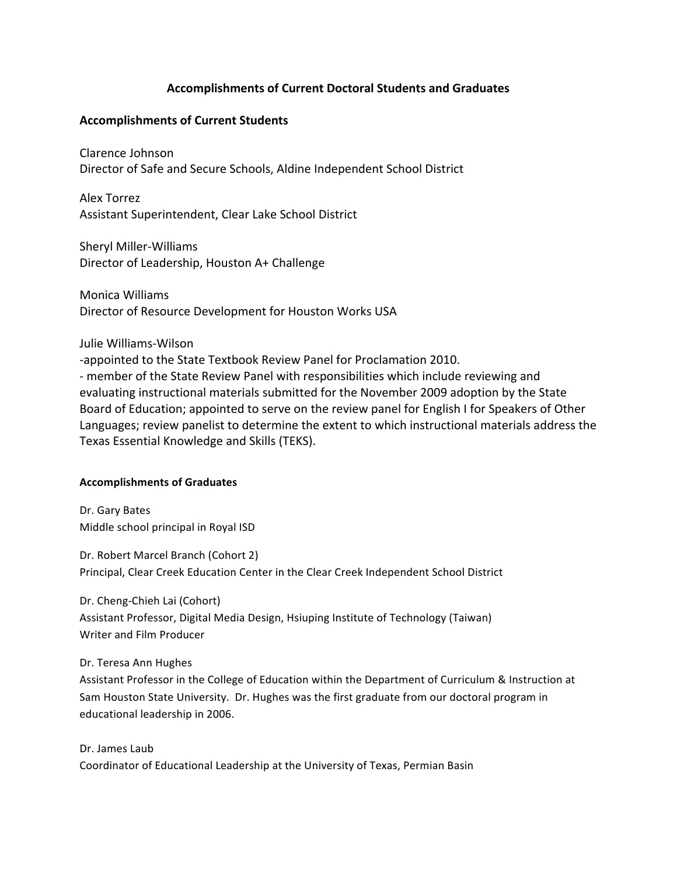# **Accomplishments
of
Current
Doctoral
Students
and
Graduates**

## **Accomplishments
of
Current
Students**

Clarence
Johnson Director
of
Safe
and
Secure
Schools,
Aldine
Independent
School
District

Alex
Torrez Assistant
Superintendent,
Clear
Lake
School
District

Sheryl
Miller‐Williams Director
of
Leadership,
Houston
A+
Challenge

Monica
Williams Director
of
Resource
Development
for
Houston
Works
USA

### Julie
Williams‐Wilson

-appointed to the State Textbook Review Panel for Proclamation 2010. ‐ member
of
the
State
Review
Panel
with
responsibilities
which
include
reviewing
and evaluating
instructional
materials
submitted
for
the
November
2009
adoption
by
the
State Board of Education; appointed to serve on the review panel for English I for Speakers of Other Languages;
review
panelist
to
determine
the
extent
to
which
instructional
materials address
the Texas
Essential
Knowledge
and
Skills
(TEKS).

### **Accomplishments
of
Graduates**

Dr.
Gary
Bates Middle
school
principal
in
Royal
ISD

Dr.
Robert
Marcel
Branch
(Cohort
2) Principal, Clear Creek Education Center in the Clear Creek Independent School District

Dr.
Cheng‐Chieh
Lai
(Cohort) Assistant Professor, Digital Media Design, Hsiuping Institute of Technology (Taiwan) Writer
and
Film
Producer

### Dr.
Teresa
Ann
Hughes

Assistant Professor in the College of Education within the Department of Curriculum & Instruction at Sam
Houston
State
University.

Dr.
Hughes
was
the
first
graduate
from
our
doctoral
program
in educational
leadership
in
2006.

Dr.
James
Laub Coordinator
of
Educational
Leadership
at
the
University
of
Texas,
Permian
Basin